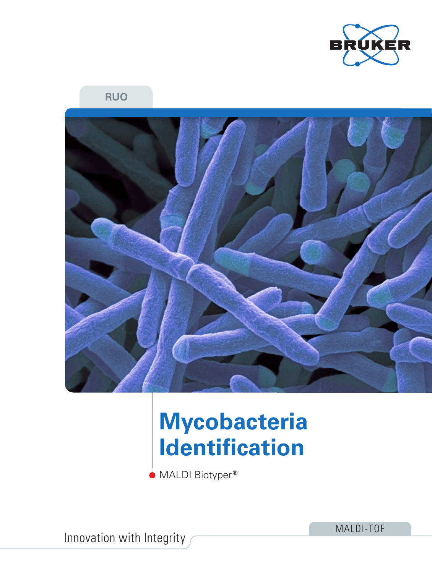

### **RUO**



# **Mycobacteria Identification**

MALDI Biotyper **®**

Innovation with Integrity

MALDI-TOF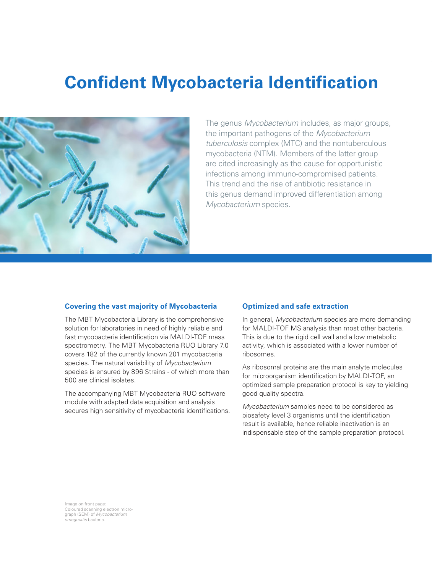### **Confident Mycobacteria Identification**



The genus *Mycobacterium* includes, as major groups, the important pathogens of the *Mycobacterium tuberculosis* complex (MTC) and the nontuberculous mycobacteria (NTM). Members of the latter group are cited increasingly as the cause for opportunistic infections among immuno-compromised patients. This trend and the rise of antibiotic resistance in this genus demand improved differentiation among *Mycobacterium* species.

#### **Covering the vast majority of Mycobacteria**

The MBT Mycobacteria Library is the comprehensive solution for laboratories in need of highly reliable and fast mycobacteria identification via MALDI-TOF mass spectrometry. The MBT Mycobacteria RUO Library 7.0 covers 182 of the currently known 201 mycobacteria species. The natural variability of *Mycobacterium* species is ensured by 896 Strains - of which more than 500 are clinical isolates.

The accompanying MBT Mycobacteria RUO software module with adapted data acquisition and analysis secures high sensitivity of mycobacteria identifications.

#### **Optimized and safe extraction**

In general, *Mycobacterium* species are more demanding for MALDI-TOF MS analysis than most other bacteria. This is due to the rigid cell wall and a low metabolic activity, which is associated with a lower number of ribosomes.

As ribosomal proteins are the main analyte molecules for microorganism identification by MALDI-TOF, an optimized sample preparation protocol is key to yielding good quality spectra.

*Mycobacterium* samples need to be considered as biosafety level 3 organisms until the identification result is available, hence reliable inactivation is an indispensable step of the sample preparation protocol.

Image on front page: Coloured scanning electron micro-graph (SEM) of *Mycobacterium smegmatis* bacteria.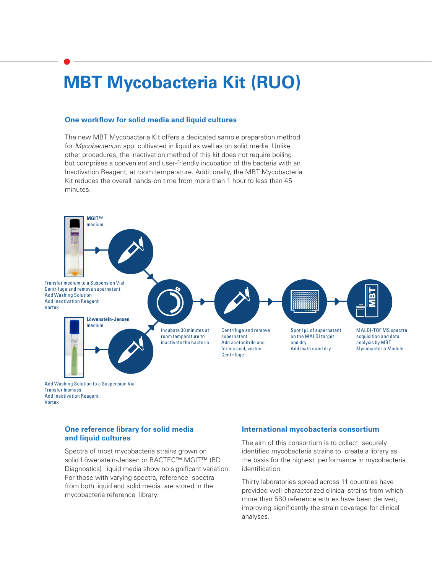### **MBT Mycobacteria Kit (RUO)**

#### **One workflow for solid media and liquid cultures**

The new MBT Mycobacteria Kit offers a dedicated sample preparation method for *Mycobacterium* spp. cultivated in liquid as well as on solid media. Unlike other procedures, the inactivation method of this kit does not require boiling but comprises a convenient and user-friendly incubation of the bacteria with an Inactivation Reagent, at room temperature. Additionally, the MBT Mycobacteria Kit reduces the overall hands-on time from more than 1 hour to less than 45 minutes.



#### **One reference library for solid media and liquid cultures**

Spectra of most mycobacteria strains grown on solid Löwenstein-Jensen or BACTEC™ MGIT™ (BD Diagnostics) liquid media show no significant variation. For those with varying spectra, reference spectra from both liquid and solid media are stored in the mycobacteria reference library.

#### **International mycobacteria consortium**

The aim of this consortium is to collect securely identified mycobacteria strains to create a library as the basis for the highest performance in mycobacteria identification.

Thirty laboratories spread across 11 countries have provided well-characterized clinical strains from which more than 580 reference entries have been derived, improving significantly the strain coverage for clinical analyses.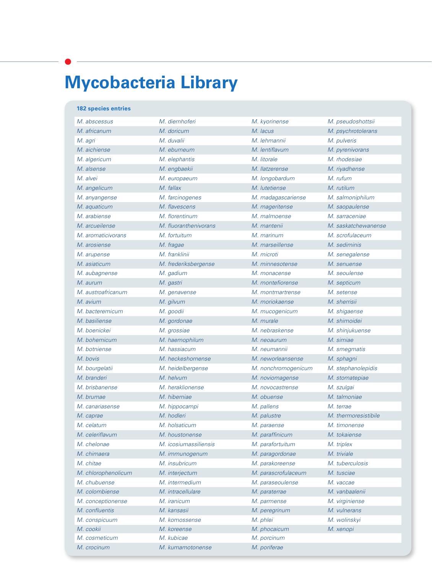## **Mycobacteria Library**

#### **182 species entries**

| M. abscessus        | M. diernhoferi        | M. kyorinense       | M. pseudoshottsii    |  |
|---------------------|-----------------------|---------------------|----------------------|--|
| M. africanum        | M. doricum            | M. lacus            |                      |  |
|                     |                       |                     | M. psychrotolerans   |  |
| M. agri             | M. duvalii            | M. lehmannii        | M. pulveris          |  |
| M. aichiense        | M. eburneum           | M. lentiflavum      | M. pyrenivorans      |  |
| M. algericum        | M. elephantis         | M. litorale         | M. rhodesiae         |  |
| M. alsense          | M. engbaekii          | M. llatzerense      | M. riyadhense        |  |
| M. alvei            | M. europaeum          | M. longobardum      | M. rufum             |  |
| M. angelicum        | M. fallax             | M. lutetiense       | M. rutilum           |  |
| M. anyangense       | M. farcinogenes       | M. madagascariense  | M. salmoniphilum     |  |
| M. aquaticum        | M. flavescens         | M. mageritense      | M. saopaulense       |  |
| M. arabiense        | M. florentinum        | M. malmoense        | M. sarraceniae       |  |
| M. arcueilense      | M. fluoranthenivorans | M. mantenii         | M. saskatchewanense  |  |
| M. aromaticivorans  | M. fortuitum          | M. marinum          | M. scrofulaceum      |  |
| M. arosiense        | M. fragae             | M. marseillense     | M. sediminis         |  |
| M. arupense         | M. franklinii         | M. microti          | M. senegalense       |  |
| M. asiaticum        | M. frederiksbergense  | M. minnesotense     | M. senuense          |  |
| M. aubagnense       | M. gadium             | M. monacense        | M. seoulense         |  |
| M. aurum            | M. gastri             | M. montefiorense    | M. septicum          |  |
| M. austroafricanum  | M. genavense          | M. montmartrense    | M. setense           |  |
| M. avium            | M. gilvum             | M. moriokaense      | M. sherrisii         |  |
| M. bacteremicum     | M. goodii             | M. mucogenicum      | M. shigaense         |  |
| M. basiliense       | M. gordonae           | M. murale           | M. shimoidei         |  |
| M. boenickei        | M. grossiae           | M. nebraskense      | M. shinjukuense      |  |
| M. bohemicum        | M. haemophilum        | M. neoaurum         | M. simiae            |  |
| M. botniense        | M. hassiacum          | M. neumannii        | M. smegmatis         |  |
| M. bovis            | M. heckeshornense     | M. neworleansense   | M. sphagni           |  |
| M. bourgelatii      | M. heidelbergense     | M. nonchromogenicum | M. stephanolepidis   |  |
| M. branderi         | M. helvum             | M. noviomagense     | M. stomatepiae       |  |
| M. brisbanense      | M. heraklionense      | M. novocastrense    | M. szulgai           |  |
| M. brumae           | M. hiberniae          | M. obuense          | M. talmoniae         |  |
| M. canariasense     | M. hippocampi         | M. pallens          | M. terrae            |  |
| M. caprae           | M. hodleri            | M. palustre         | M. thermoresistibile |  |
| M. celatum          | M. holsaticum         | M. paraense         | M. timonense         |  |
| M. celeriflavum     | M. houstonense        | M. paraffinicum     | M. tokaiense         |  |
| M. chelonae         | M. icosiumassiliensis | M. parafortuitum    | M. triplex           |  |
| M. chimaera         | M. immunogenum        | M. paragordonae     | M. triviale          |  |
| M. chitae           | M. insubricum         | M. parakoreense     | M. tuberculosis      |  |
| M. chlorophenolicum | M. interjectum        | M. parascrofulaceum | M. tusciae           |  |
| M. chubuense        | M. intermedium        | M. paraseoulense    | M. vaccae            |  |
| M. colombiense      | M. intracellulare     | M. paraterrae       | M. vanbaalenii       |  |
| M. conceptionense   | M. iranicum           | M. parmense         | M. virginiense       |  |
| M. confluentis      | M. kansasii           | M. peregrinum       | M. vulnerans         |  |
| M. conspicuum       | M. komossense         | M. phlei            | M. wolinskyi         |  |
| M. cookii           | M. koreense           | M. phocaicum        | M. xenopi            |  |
| M. cosmeticum       | M. kubicae            | M. porcinum         |                      |  |
| M. crocinum         | M. kumamotonense      | M. poriferae        |                      |  |
|                     |                       |                     |                      |  |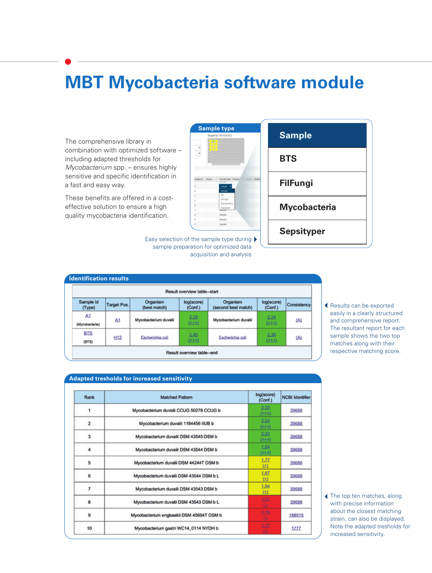### **MBT Mycobacteria software module**

The comprehensive library in combination with optimized software – including adapted thresholds for *Mycobacterium* spp. – ensures highly sensitive and specific identification in a fast and easy way.

These benefits are offered in a costeffective solution to ensure a high quality mycobacteria identification.



Easy selection of the sample type during  $\blacktriangleright$ sample preparation for optimized data acquisition and analysis



| Result overview table-start |                          |                       |                                 |                       |             |  |  |
|-----------------------------|--------------------------|-----------------------|---------------------------------|-----------------------|-------------|--|--|
| Target Pos.                 | Organism<br>(best match) | log(score)<br>(Conf.) | Organism<br>(second best match) | log(score)<br>(Conf.) | Consistency |  |  |
| A1                          | Mycobacterium duvalii    | 2.25<br>$(+ + +)$     | Mycobacterium duvalii           | 2.24<br>$(+ + +)$     | (A)         |  |  |
| H12                         | Escherichia coli         | 2.45<br>$(+ + +)$     | Escherichia coli                | 2.36<br>$(+ + +)$     | (A)         |  |  |
|                             |                          |                       |                                 |                       |             |  |  |

Results can be exported easily in a clearly structured and comprehensive report. The resultant report for each sample shows the two top matches along with their respective matching score.

#### **Adapted tresholds for increased sensitivity** log(score) Rank Matched Pattern NCBI Identifier (Conf.)  $2.25$  $\mathbf{1}$ Mycobacterium duvalii CCUG 50278 CCUG b 39688  $(***)$  $\frac{2.24}{(***)}$  $\overline{2}$ Mycobacterium duvalii 1184456 IIUB b 39688 2.02  $\overline{\mathbf{3}}$ Mycobacterium duvalii DSM 43545 DSM b 39688  $(+ + +)$ 1.84  $\overline{a}$ Mycobacterium duvalii DSM 43544 DSM b 39688  $(4 + 4)$  $1.77$  $\overline{\phantom{a}}$ Mycobacterium duvalii DSM 44244T DSM b 39688 田 1.67  $\,$  6 Mycobacterium duvalii DSM 43544 DSM b L 39688  $(+)$ 1.64  $\overline{7}$ Mycobacterium duvalii DSM 43543 DSM b 39688  $(+)$ 8 Mycobacterium duvalii DSM 43543 DSM b L 39688  $\overline{9}$ Mycobacterium engbaekii DSM 45694T DSM b 188915 10 1777 Mycobacterium gastri WC14\_0114 NYDH b

The top ten matches, along with precise information about the closest matching strain, can also be displayed. Note the adapted tresholds for increased sensitivity.